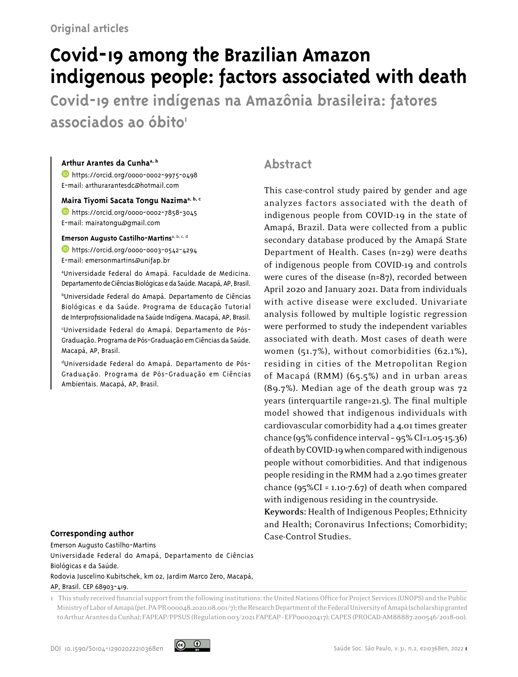# **Covid-19 among the Brazilian Amazon indigenous people: factors associated with death**

**Covid-19 entre indígenas na Amazônia brasileira: fatores**  associados ao óbito<sup>1</sup>

#### **Arthur Arantes da Cunhaa, b**

**b** <https://orcid.org/0000-0002-9975-0498> [E-mail:](http://lattes.cnpq.br/6010776044724422) arthurarantesdc@hotmail.com

#### **Maira Tiyomi Sacata Tongu Nazimaa, b, c**

**<https://orcid.org/0000-0002-7858-3045>** [E-mail:](http://lattes.cnpq.br/6010776044724422) mairatongu@gmail.com

**Emerson Augusto Castilho-Martins**a, b, c, d

**<https://orcid.org/0000-0003-0542-4294>** E-mail: emersonmartins@unifap.br

a Universidade Federal do Amapá. Faculdade de Medicina. Departamento de Ciências Biológicas e da Saúde. Macapá, AP, Brasil.

b Universidade Federal do Amapá. Departamento de Ciências Biológicas e da Saúde. Programa de Educação Tutorial de Interprofissionalidade na Saúde Indígena. Macapá, AP, Brasil.

c Universidade Federal do Amapá. Departamento de Pós-Graduação. Programa de Pós-Graduação em Ciências da Saúde. Macapá, AP, Brasil.

d Universidade Federal do Amapá. Departamento de Pós-Graduação. Programa de Pós-Graduação em Ciências Ambientais. Macapá, AP, Brasil.

## **Corresponding author**

Emerson Augusto Castilho-Martins Universidade Federal do Amapá, Departamento de Ciências Biológicas e da Saúde. Rodovia Juscelino Kubitschek, km 02, Jardim Marco Zero, Macapá, AP, Brasil. CEP 68903-419.

# **Abstract**

This case-control study paired by gender and age analyzes factors associated with the death of indigenous people from COVID-19 in the state of Amapá, Brazil. Data were collected from a public secondary database produced by the Amapá State Department of Health. Cases (n=29) were deaths of indigenous people from COVID-19 and controls were cures of the disease (n=87), recorded between April 2020 and January 2021. Data from individuals with active disease were excluded. Univariate analysis followed by multiple logistic regression were performed to study the independent variables associated with death. Most cases of death were women (51.7%), without comorbidities (62.1%), residing in cities of the Metropolitan Region of Macapá (RMM) (65.5%) and in urban areas (89.7%). Median age of the death group was 72 years (interquartile range=21.5). The final multiple model showed that indigenous individuals with cardiovascular comorbidity had a 4.01 times greater chance (95% confidence interval – 95% CI=1.05-15.36) of death by COVID-19 when compared with indigenous people without comorbidities. And that indigenous people residing in the RMM had a 2.90 times greater chance  $(95\%CI = 1.10 - 7.67)$  of death when compared with indigenous residing in the countryside.

**Keywords:** Health of Indigenous Peoples; Ethnicity and Health; Coronavirus Infections; Comorbidity; Case-Control Studies.

1 This study received financial support from the following institutions: the United Nations Office for Project Services (UNOPS) and the Public Ministry of Labor of Amapá (pet. PA-PR 000048.2020.08.001/7); the Research Department of the Federal University of Amapá (scholarship granted to Arthur Arantes da Cunha); FAPEAP/PPSUS (Regulation 003/2021 FAPEAP - EFP00020417); CAPES (PROCAD-AM88887.200546/2018-00).

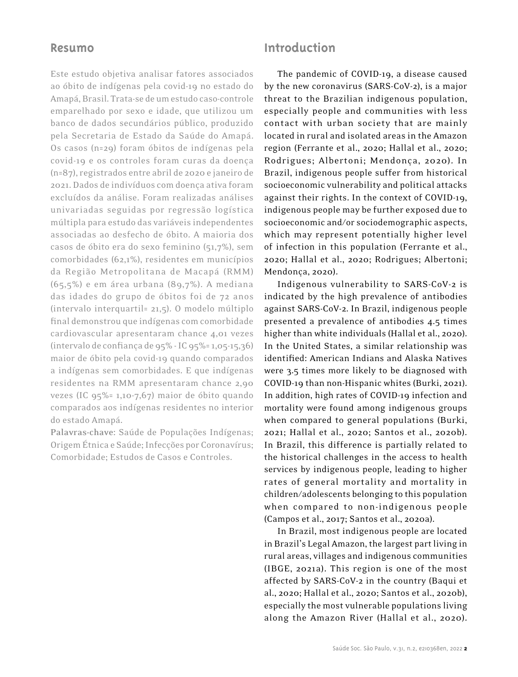## **Resumo**

Este estudo objetiva analisar fatores associados ao óbito de indígenas pela covid-19 no estado do Amapá, Brasil. Trata-se de um estudo caso-controle emparelhado por sexo e idade, que utilizou um banco de dados secundários público, produzido pela Secretaria de Estado da Saúde do Amapá. Os casos (n=29) foram óbitos de indígenas pela covid-19 e os controles foram curas da doença (n=87), registrados entre abril de 2020 e janeiro de 2021. Dados de indivíduos com doença ativa foram excluídos da análise. Foram realizadas análises univariadas seguidas por regressão logística múltipla para estudo das variáveis independentes associadas ao desfecho de óbito. A maioria dos casos de óbito era do sexo feminino (51,7%), sem comorbidades (62,1%), residentes em municípios da Região Metropolitana de Macapá (RMM) (65,5%) e em área urbana (89,7%). A mediana das idades do grupo de óbitos foi de 72 anos (intervalo interquartil= 21,5). O modelo múltiplo final demonstrou que indígenas com comorbidade cardiovascular apresentaram chance 4,01 vezes (intervalo de confiança de 95% - IC 95%= 1,05-15,36) maior de óbito pela covid-19 quando comparados a indígenas sem comorbidades. E que indígenas residentes na RMM apresentaram chance 2,90 vezes (IC 95%= 1,10-7,67) maior de óbito quando comparados aos indígenas residentes no interior do estado Amapá.

**Palavras-chave:** Saúde de Populações Indígenas; Origem Étnica e Saúde; Infecções por Coronavírus; Comorbidade; Estudos de Casos e Controles.

# **Introduction**

The pandemic of COVID-19, a disease caused by the new coronavirus (SARS-CoV-2), is a major threat to the Brazilian indigenous population, especially people and communities with less contact with urban society that are mainly located in rural and isolated areas in the Amazon region (Ferrante et al., 2020; Hallal et al., 2020; Rodrigues; Albertoni; Mendonça, 2020). In Brazil, indigenous people suffer from historical socioeconomic vulnerability and political attacks against their rights. In the context of COVID-19, indigenous people may be further exposed due to socioeconomic and/or sociodemographic aspects, which may represent potentially higher level of infection in this population (Ferrante et al., 2020; Hallal et al., 2020; Rodrigues; Albertoni; Mendonça, 2020).

Indigenous vulnerability to SARS-CoV-2 is indicated by the high prevalence of antibodies against SARS-CoV-2. In Brazil, indigenous people presented a prevalence of antibodies 4.5 times higher than white individuals (Hallal et al., 2020). In the United States, a similar relationship was identified: American Indians and Alaska Natives were 3.5 times more likely to be diagnosed with COVID-19 than non-Hispanic whites (Burki, 2021). In addition, high rates of COVID-19 infection and mortality were found among indigenous groups when compared to general populations (Burki, 2021; Hallal et al., 2020; Santos et al., 2020b). In Brazil, this difference is partially related to the historical challenges in the access to health services by indigenous people, leading to higher rates of general mortality and mortality in children/adolescents belonging to this population when compared to non-indigenous people (Campos et al., 2017; Santos et al., 2020a).

In Brazil, most indigenous people are located in Brazil's Legal Amazon, the largest part living in rural areas, villages and indigenous communities (IBGE, 2021a). This region is one of the most affected by SARS-CoV-2 in the country (Baqui et al., 2020; Hallal et al., 2020; Santos et al., 2020b), especially the most vulnerable populations living along the Amazon River (Hallal et al., 2020).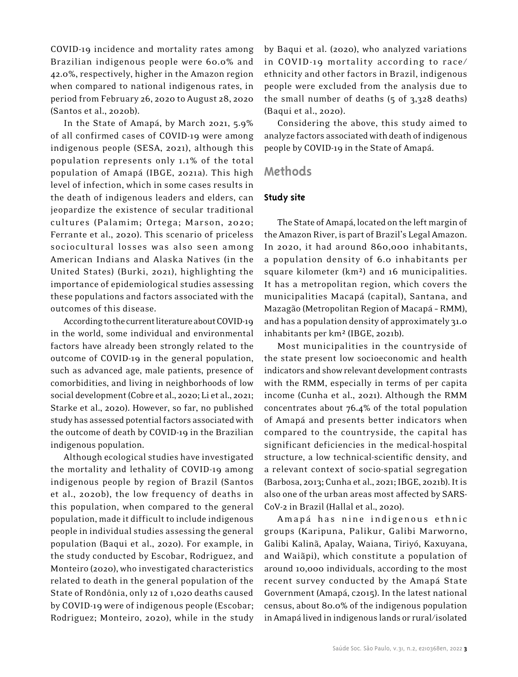COVID-19 incidence and mortality rates among Brazilian indigenous people were 60.0% and 42.0%, respectively, higher in the Amazon region when compared to national indigenous rates, in period from February 26, 2020 to August 28, 2020 (Santos et al., 2020b).

In the State of Amapá, by March 2021, 5.9% of all confirmed cases of COVID-19 were among indigenous people (SESA, 2021), although this population represents only 1.1% of the total population of Amapá (IBGE, 2021a). This high level of infection, which in some cases results in the death of indigenous leaders and elders, can jeopardize the existence of secular traditional cultures (Palamim; Ortega; Marson, 2020; Ferrante et al., 2020). This scenario of priceless sociocultural losses was also seen among American Indians and Alaska Natives (in the United States) (Burki, 2021), highlighting the importance of epidemiological studies assessing these populations and factors associated with the outcomes of this disease.

According to the current literature about COVID-19 in the world, some individual and environmental factors have already been strongly related to the outcome of COVID-19 in the general population, such as advanced age, male patients, presence of comorbidities, and living in neighborhoods of low social development (Cobre et al., 2020; Li et al., 2021; Starke et al., 2020). However, so far, no published study has assessed potential factors associated with the outcome of death by COVID-19 in the Brazilian indigenous population.

Although ecological studies have investigated the mortality and lethality of COVID-19 among indigenous people by region of Brazil (Santos et al., 2020b), the low frequency of deaths in this population, when compared to the general population, made it difficult to include indigenous people in individual studies assessing the general population (Baqui et al., 2020). For example, in the study conducted by Escobar, Rodriguez, and Monteiro (2020), who investigated characteristics related to death in the general population of the State of Rondônia, only 12 of 1,020 deaths caused by COVID-19 were of indigenous people (Escobar; Rodriguez; Monteiro, 2020), while in the study by Baqui et al. (2020), who analyzed variations in COVID-19 mortality according to race/ ethnicity and other factors in Brazil, indigenous people were excluded from the analysis due to the small number of deaths (5 of 3,328 deaths) (Baqui et al., 2020).

Considering the above, this study aimed to analyze factors associated with death of indigenous people by COVID-19 in the State of Amapá.

## **Methods**

### **Study site**

The State of Amapá, located on the left margin of the Amazon River, is part of Brazil's Legal Amazon. In 2020, it had around 860,000 inhabitants, a population density of 6.0 inhabitants per square kilometer (km²) and 16 municipalities. It has a metropolitan region, which covers the municipalities Macapá (capital), Santana, and Mazagão (Metropolitan Region of Macapá – RMM), and has a population density of approximately 31.0 inhabitants per km² (IBGE, 2021b).

Most municipalities in the countryside of the state present low socioeconomic and health indicators and show relevant development contrasts with the RMM, especially in terms of per capita income (Cunha et al., 2021). Although the RMM concentrates about 76.4% of the total population of Amapá and presents better indicators when compared to the countryside, the capital has significant deficiencies in the medical-hospital structure, a low technical-scientific density, and a relevant context of socio-spatial segregation (Barbosa, 2013; Cunha et al., 2021; IBGE, 2021b). It is also one of the urban areas most affected by SARS-CoV-2 in Brazil (Hallal et al., 2020).

Amapá has nine indigenous ethnic groups (Karipuna, Palikur, Galibi Marworno, Galibi Kalinã, Apalay, Waiana, Tiriyó, Kaxuyana, and Waiãpi), which constitute a population of around 10,000 individuals, according to the most recent survey conducted by the Amapá State Government (Amapá, c2015). In the latest national census, about 80.0% of the indigenous population in Amapá lived in indigenous lands or rural/isolated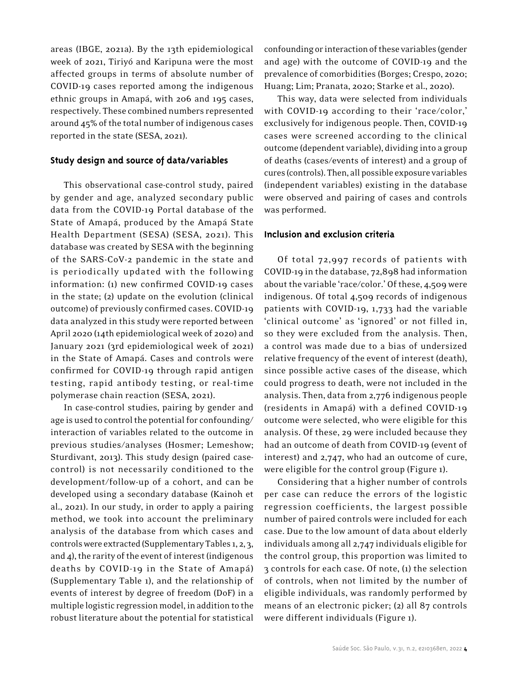areas (IBGE, 2021a). By the 13th epidemiological week of 2021, Tiriyó and Karipuna were the most affected groups in terms of absolute number of COVID-19 cases reported among the indigenous ethnic groups in Amapá, with 206 and 195 cases, respectively. These combined numbers represented around 45% of the total number of indigenous cases reported in the state (SESA, 2021).

## **Study design and source of data/variables**

This observational case-control study, paired by gender and age, analyzed secondary public data from the COVID-19 Portal database of the State of Amapá, produced by the Amapá State Health Department (SESA) (SESA, 2021). This database was created by SESA with the beginning of the SARS-CoV-2 pandemic in the state and is periodically updated with the following information: (1) new confirmed COVID-19 cases in the state; (2) update on the evolution (clinical outcome) of previously confirmed cases. COVID-19 data analyzed in this study were reported between April 2020 (14th epidemiological week of 2020) and January 2021 (3rd epidemiological week of 2021) in the State of Amapá. Cases and controls were confirmed for COVID-19 through rapid antigen testing, rapid antibody testing, or real-time polymerase chain reaction (SESA, 2021).

In case-control studies, pairing by gender and age is used to control the potential for confounding/ interaction of variables related to the outcome in previous studies/analyses (Hosmer; Lemeshow; Sturdivant, 2013). This study design (paired casecontrol) is not necessarily conditioned to the development/follow-up of a cohort, and can be developed using a secondary database (Kainoh et al., 2021). In our study, in order to apply a pairing method, we took into account the preliminary analysis of the database from which cases and controls were extracted (Supplementary Tables 1, 2, 3, and 4), the rarity of the event of interest (indigenous deaths by COVID-19 in the State of Amapá) (Supplementary Table 1), and the relationship of events of interest by degree of freedom (DoF) in a multiple logistic regression model, in addition to the robust literature about the potential for statistical

confounding or interaction of these variables (gender and age) with the outcome of COVID-19 and the prevalence of comorbidities (Borges; Crespo, 2020; Huang; Lim; Pranata, 2020; Starke et al., 2020).

This way, data were selected from individuals with COVID-19 according to their 'race/color,' exclusively for indigenous people. Then, COVID-19 cases were screened according to the clinical outcome (dependent variable), dividing into a group of deaths (cases/events of interest) and a group of cures (controls). Then, all possible exposure variables (independent variables) existing in the database were observed and pairing of cases and controls was performed.

### **Inclusion and exclusion criteria**

Of total 72,997 records of patients with COVID-19 in the database, 72,898 had information about the variable 'race/color.' Of these, 4,509 were indigenous. Of total 4,509 records of indigenous patients with COVID-19, 1,733 had the variable 'clinical outcome' as 'ignored' or not filled in, so they were excluded from the analysis. Then, a control was made due to a bias of undersized relative frequency of the event of interest (death), since possible active cases of the disease, which could progress to death, were not included in the analysis. Then, data from 2,776 indigenous people (residents in Amapá) with a defined COVID-19 outcome were selected, who were eligible for this analysis. Of these, 29 were included because they had an outcome of death from COVID-19 (event of interest) and 2,747, who had an outcome of cure, were eligible for the control group (Figure 1).

Considering that a higher number of controls per case can reduce the errors of the logistic regression coefficients, the largest possible number of paired controls were included for each case. Due to the low amount of data about elderly individuals among all 2,747 individuals eligible for the control group, this proportion was limited to 3 controls for each case. Of note, (1) the selection of controls, when not limited by the number of eligible individuals, was randomly performed by means of an electronic picker; (2) all 87 controls were different individuals (Figure 1).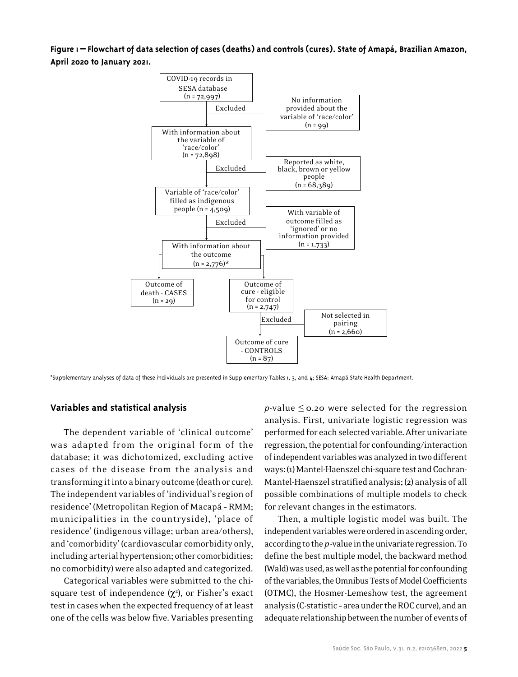**Figure 1 – Flowchart of data selection of cases (deaths) and controls (cures). State of Amapá, Brazilian Amazon, April 2020 to January 2021.**



\*Supplementary analyses of data of these individuals are presented in Supplementary Tables 1, 3, and 4; SESA: Amapá State Health Department.

#### **Variables and statistical analysis**

The dependent variable of 'clinical outcome' was adapted from the original form of the database; it was dichotomized, excluding active cases of the disease from the analysis and transforming it into a binary outcome (death or cure). The independent variables of 'individual's region of residence' (Metropolitan Region of Macapá – RMM; municipalities in the countryside), 'place of residence' (indigenous village; urban area/others), and 'comorbidity' (cardiovascular comorbidity only, including arterial hypertension; other comorbidities; no comorbidity) were also adapted and categorized.

Categorical variables were submitted to the chisquare test of independence  $(\chi^2)$ , or Fisher's exact test in cases when the expected frequency of at least one of the cells was below five. Variables presenting

*p*-value  $\leq$  0.20 were selected for the regression analysis. First, univariate logistic regression was performed for each selected variable. After univariate regression, the potential for confounding/interaction of independent variables was analyzed in two different ways: (1) Mantel-Haenszel chi-square test and Cochran-Mantel-Haenszel stratified analysis; (2) analysis of all possible combinations of multiple models to check for relevant changes in the estimators.

Then, a multiple logistic model was built. The independent variables were ordered in ascending order, according to the *p* -value in the univariate regression. To define the best multiple model, the backward method (Wald) was used, as well as the potential for confounding of the variables, the Omnibus Tests of Model Coefficients (OTMC), the Hosmer-Lemeshow test, the agreement analysis (C-statistic – area under the ROC curve), and an adequate relationship between the number of events of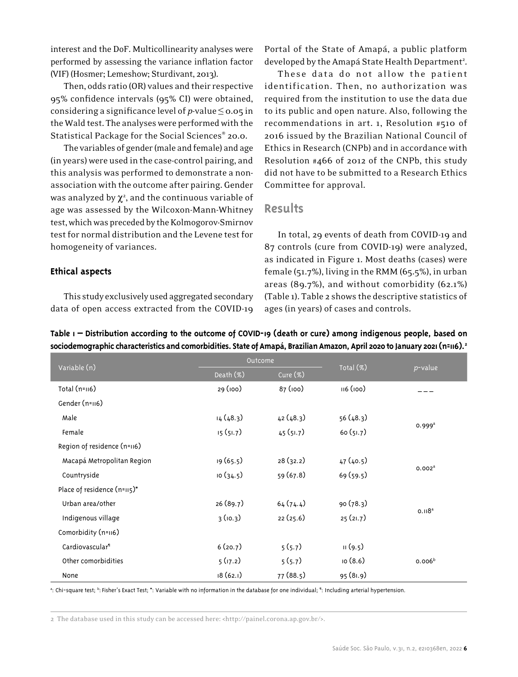interest and the DoF. Multicollinearity analyses were performed by assessing the variance inflation factor (VIF) (Hosmer; Lemeshow; Sturdivant, 2013).

Then, odds ratio (OR) values and their respective 95% confidence intervals (95% CI) were obtained, considering a significance level of *p*-value ≤ 0.05 in the Wald test. The analyses were performed with the Statistical Package for the Social Sciences® 20.0.

The variables of gender (male and female) and age (in years) were used in the case-control pairing, and this analysis was performed to demonstrate a nonassociation with the outcome after pairing. Gender was analyzed by  $\chi^2$ , and the continuous variable of age was assessed by the Wilcoxon-Mann-Whitney test, which was preceded by the Kolmogorov-Smirnov test for normal distribution and the Levene test for homogeneity of variances.

**Ethical aspects**

This study exclusively used aggregated secondary data of open access extracted from the COVID-19 Portal of the State of Amapá, a public platform developed by the Amapá State Health Department<sup>2</sup>.

These data do not allow the patient identification. Then, no authorization was required from the institution to use the data due to its public and open nature. Also, following the recommendations in art. 1, Resolution #510 of 2016 issued by the Brazilian National Council of Ethics in Research (CNPb) and in accordance with Resolution #466 of 2012 of the CNPb, this study did not have to be submitted to a Research Ethics Committee for approval.

## **Results**

In total, 29 events of death from COVID-19 and 87 controls (cure from COVID-19) were analyzed, as indicated in Figure 1. Most deaths (cases) were female (51.7%), living in the RMM (65.5%), in urban areas (89.7%), and without comorbidity (62.1%) (Table 1). Table 2 shows the descriptive statistics of ages (in years) of cases and controls.

|                             | Outcome   |          |           |                    |
|-----------------------------|-----------|----------|-----------|--------------------|
| Variable (n)                | Death (%) | Cure (%) | Total (%) | p-value            |
| Total $(n=116)$             | 29 (100)  | 87 (100) | 116(100)  |                    |
| Gender (n=116)              |           |          |           |                    |
| Male                        | 14(48.3)  | 42(48.3) | 56 (48.3) |                    |
| Female                      | 15(51.7)  | 45(51.7) | 60(51.7)  | $0.999^{\text{a}}$ |
| Region of residence (n=116) |           |          |           |                    |
| Macapá Metropolitan Region  | 19 (65.5) | 28(32.2) | 47(40.5)  |                    |
| Countryside                 | 10(34.5)  | 59(67.8) | 69(59.5)  | 0.002 <sup>a</sup> |
| Place of residence (n=115)* |           |          |           |                    |
| Urban area/other            | 26(89.7)  | 64(74.4) | 90(78.3)  |                    |
| Indigenous village          | 3(10.3)   | 22(25.6) | 25(21.7)  | 0.118 <sup>a</sup> |
| Comorbidity (n=116)         |           |          |           |                    |
| Cardiovascular <sup>1</sup> | 6(20.7)   | 5(5.7)   | 11(9.5)   |                    |
| Other comorbidities         | 5(17.2)   | 5(5.7)   | 10(8.6)   | 0.006 <sup>b</sup> |
| None                        | 18(62.1)  | 77(88.5) | 95(81.9)  |                    |

**Table 1 – Distribution according to the outcome of COVID-19 (death or cure) among indigenous people, based on sociodemographic characteristics and comorbidities. State of Amapá, Brazilian Amazon, April 2020 to January 2021 (n=116).2**

<sup>a</sup>: Chi-square test; <sup>b</sup>: Fisher's Exact Test; \*: Variable with no information in the database for one individual; <sup>q</sup>: Including arterial hypertension.

2 The database used in this study can be accessed here: <http://painel.corona.ap.gov.br/>.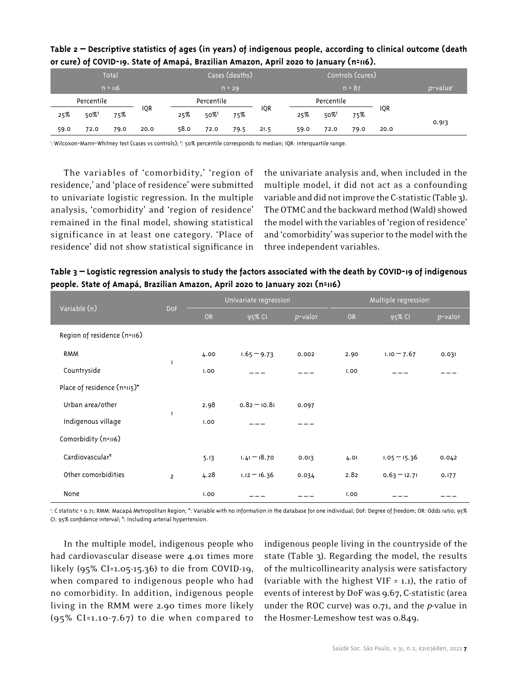|      |            | Total     |            |      | Cases (deaths)      |          |      |          | Controls (cures)    |      |      |                      |
|------|------------|-----------|------------|------|---------------------|----------|------|----------|---------------------|------|------|----------------------|
|      |            | $n = 116$ |            |      |                     | $n = 29$ |      | $n = 87$ |                     |      |      | p-value <sup>1</sup> |
|      | Percentile |           |            |      | Percentile          |          |      |          | Percentile          |      |      |                      |
| 25%  | $50\%$     | 75%       | <b>IQR</b> | 25%  | $50\%$ <sup>t</sup> | 75%      | IQR  | 25%      | $50\%$ <sup>£</sup> | 75%  | IQR  | 0.913                |
| 59.0 | 72.0       | 79.0      | 20.0       | 58.0 | 72.0                | 79.5     | 21.5 | 59.0     | 72.0                | 79.0 | 20.0 |                      |

## **Table 2 – Descriptive statistics of ages (in years) of indigenous people, according to clinical outcome (death or cure) of COVID-19. State of Amapá, Brazilian Amazon, April 2020 to January (n=116).**

': Wilcoxon-Mann-Whitney test (cases vs controls); <sup>t</sup>: 50% percentile corresponds to median; IQR: interquartile range.

The variables of 'comorbidity,' 'region of residence,' and 'place of residence' were submitted to univariate logistic regression. In the multiple analysis, 'comorbidity' and 'region of residence' remained in the final model, showing statistical significance in at least one category. 'Place of residence' did not show statistical significance in

the univariate analysis and, when included in the multiple model, it did not act as a confounding variable and did not improve the C-statistic (Table 3). The OTMC and the backward method (Wald) showed the model with the variables of 'region of residence' and 'comorbidity' was superior to the model with the three independent variables.

**Table 3 – Logistic regression analysis to study the factors associated with the death by COVID-19 of indigenous people. State of Amapá, Brazilian Amazon, April 2020 to January 2021 (n=116)**

| Variable (n)                | <b>DoF</b>     |      | Univariate regression |         | Multiple regression' |                |         |  |
|-----------------------------|----------------|------|-----------------------|---------|----------------------|----------------|---------|--|
|                             |                | OR   | 95% CI                | p-valor | <b>OR</b>            | 95% CI         | p-valor |  |
| Region of residence (n=116) |                |      |                       |         |                      |                |         |  |
| <b>RMM</b>                  |                | 4.00 | $1.65 - 9.73$         | 0.002   | 2.90                 | $1.10 - 7.67$  | 0.031   |  |
| Countryside                 | <sup>1</sup>   | 1.00 |                       |         | 1.00                 |                |         |  |
| Place of residence (n=115)* |                |      |                       |         |                      |                |         |  |
| Urban area/other            |                | 2.98 | $0.82 - 10.81$        | 0.097   |                      |                |         |  |
| Indigenous village          | п              | 1.00 |                       |         |                      |                |         |  |
| Comorbidity (n=116)         |                |      |                       |         |                      |                |         |  |
| Cardiovascular <sup>1</sup> |                | 5.13 | $1.41 - 18.70$        | 0.013   | 4.01                 | $1.05 - 15.36$ | 0.042   |  |
| Other comorbidities         | $\overline{2}$ | 4.28 | $1.12 - 16.36$        | 0.034   | 2.82                 | $0.63 - 12.71$ | 0.177   |  |
| None                        |                | 1.00 |                       |         | 1.00                 |                |         |  |

1 : C statistic = 0.71; RMM: Macapá Metropolitan Region; \*: Variable with no information in the database for one individual; DoF: Degree of freedom; OR: Odds ratio; 95% CI: 95% confidence interval; ¶ : Including arterial hypertension.

In the multiple model, indigenous people who had cardiovascular disease were 4.01 times more likely (95% CI=1.05-15.36) to die from COVID-19, when compared to indigenous people who had no comorbidity. In addition, indigenous people living in the RMM were 2.90 times more likely (95% CI=1.10-7.67) to die when compared to

indigenous people living in the countryside of the state (Table 3). Regarding the model, the results of the multicollinearity analysis were satisfactory (variable with the highest VIF = 1.1), the ratio of events of interest by DoF was 9.67, C-statistic (area under the ROC curve) was 0.71, and the *p*-value in the Hosmer-Lemeshow test was 0.849.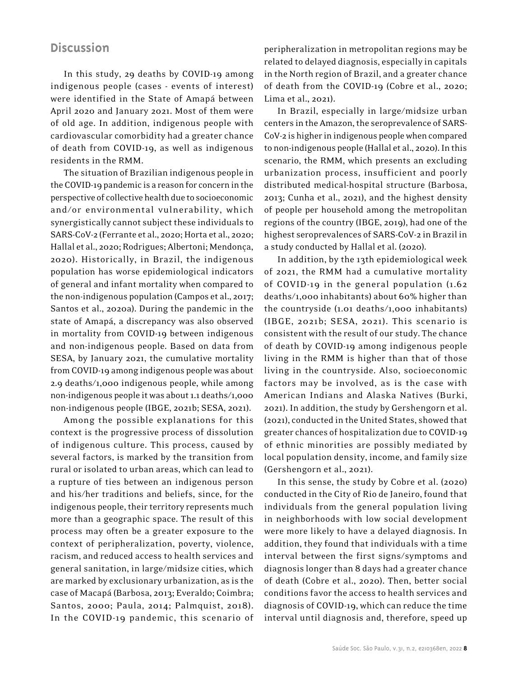## **Discussion**

In this study, 29 deaths by COVID-19 among indigenous people (cases - events of interest) were identified in the State of Amapá between April 2020 and January 2021. Most of them were of old age. In addition, indigenous people with cardiovascular comorbidity had a greater chance of death from COVID-19, as well as indigenous residents in the RMM.

The situation of Brazilian indigenous people in the COVID-19 pandemic is a reason for concern in the perspective of collective health due to socioeconomic and/or environmental vulnerability, which synergistically cannot subject these individuals to SARS-CoV-2 (Ferrante et al., 2020; Horta et al., 2020; Hallal et al., 2020; Rodrigues; Albertoni; Mendonça, 2020). Historically, in Brazil, the indigenous population has worse epidemiological indicators of general and infant mortality when compared to the non-indigenous population (Campos et al., 2017; Santos et al., 2020a). During the pandemic in the state of Amapá, a discrepancy was also observed in mortality from COVID-19 between indigenous and non-indigenous people. Based on data from SESA, by January 2021, the cumulative mortality from COVID-19 among indigenous people was about 2.9 deaths/1,000 indigenous people, while among non-indigenous people it was about 1.1 deaths/1,000 non-indigenous people (IBGE, 2021b; SESA, 2021).

Among the possible explanations for this context is the progressive process of dissolution of indigenous culture. This process, caused by several factors, is marked by the transition from rural or isolated to urban areas, which can lead to a rupture of ties between an indigenous person and his/her traditions and beliefs, since, for the indigenous people, their territory represents much more than a geographic space. The result of this process may often be a greater exposure to the context of peripheralization, poverty, violence, racism, and reduced access to health services and general sanitation, in large/midsize cities, which are marked by exclusionary urbanization, as is the case of Macapá (Barbosa, 2013; Everaldo; Coimbra; Santos, 2000; Paula, 2014; Palmquist, 2018). In the COVID-19 pandemic, this scenario of peripheralization in metropolitan regions may be related to delayed diagnosis, especially in capitals in the North region of Brazil, and a greater chance of death from the COVID-19 (Cobre et al., 2020; Lima et al., 2021).

In Brazil, especially in large/midsize urban centers in the Amazon, the seroprevalence of SARS-CoV-2 is higher in indigenous people when compared to non-indigenous people (Hallal et al., 2020). In this scenario, the RMM, which presents an excluding urbanization process, insufficient and poorly distributed medical-hospital structure (Barbosa, 2013; Cunha et al., 2021), and the highest density of people per household among the metropolitan regions of the country (IBGE, 2019), had one of the highest seroprevalences of SARS-CoV-2 in Brazil in a study conducted by Hallal et al. (2020).

In addition, by the 13th epidemiological week of 2021, the RMM had a cumulative mortality of COVID-19 in the general population (1.62 deaths/1,000 inhabitants) about 60% higher than the countryside (1.01 deaths/1,000 inhabitants) (IBGE, 2021b; SESA, 2021). This scenario is consistent with the result of our study. The chance of death by COVID-19 among indigenous people living in the RMM is higher than that of those living in the countryside. Also, socioeconomic factors may be involved, as is the case with American Indians and Alaska Natives (Burki, 2021). In addition, the study by Gershengorn et al. (2021), conducted in the United States, showed that greater chances of hospitalization due to COVID-19 of ethnic minorities are possibly mediated by local population density, income, and family size (Gershengorn et al., 2021).

In this sense, the study by Cobre et al. (2020) conducted in the City of Rio de Janeiro, found that individuals from the general population living in neighborhoods with low social development were more likely to have a delayed diagnosis. In addition, they found that individuals with a time interval between the first signs/symptoms and diagnosis longer than 8 days had a greater chance of death (Cobre et al., 2020). Then, better social conditions favor the access to health services and diagnosis of COVID-19, which can reduce the time interval until diagnosis and, therefore, speed up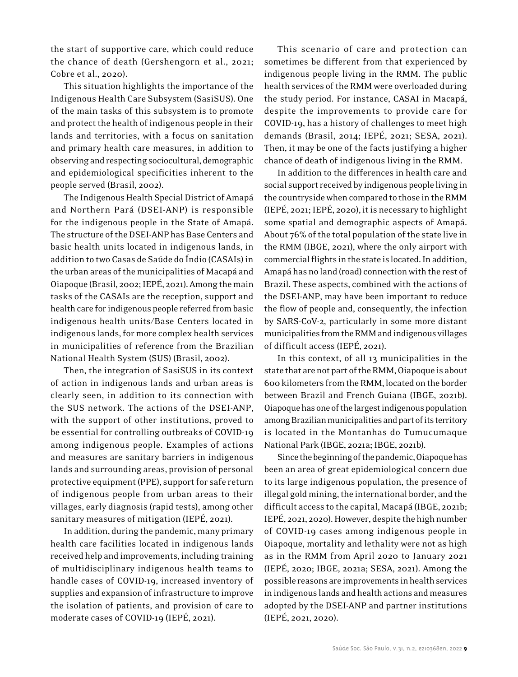the start of supportive care, which could reduce the chance of death (Gershengorn et al., 2021; Cobre et al., 2020).

This situation highlights the importance of the Indigenous Health Care Subsystem (SasiSUS). One of the main tasks of this subsystem is to promote and protect the health of indigenous people in their lands and territories, with a focus on sanitation and primary health care measures, in addition to observing and respecting sociocultural, demographic and epidemiological specificities inherent to the people served (Brasil, 2002).

The Indigenous Health Special District of Amapá and Northern Pará (DSEI-ANP) is responsible for the indigenous people in the State of Amapá. The structure of the DSEI-ANP has Base Centers and basic health units located in indigenous lands, in addition to two Casas de Saúde do Índio (CASAIs) in the urban areas of the municipalities of Macapá and Oiapoque (Brasil, 2002; IEPÉ, 2021). Among the main tasks of the CASAIs are the reception, support and health care for indigenous people referred from basic indigenous health units/Base Centers located in indigenous lands, for more complex health services in municipalities of reference from the Brazilian National Health System (SUS) (Brasil, 2002).

Then, the integration of SasiSUS in its context of action in indigenous lands and urban areas is clearly seen, in addition to its connection with the SUS network. The actions of the DSEI-ANP, with the support of other institutions, proved to be essential for controlling outbreaks of COVID-19 among indigenous people. Examples of actions and measures are sanitary barriers in indigenous lands and surrounding areas, provision of personal protective equipment (PPE), support for safe return of indigenous people from urban areas to their villages, early diagnosis (rapid tests), among other sanitary measures of mitigation (IEPÉ, 2021).

In addition, during the pandemic, many primary health care facilities located in indigenous lands received help and improvements, including training of multidisciplinary indigenous health teams to handle cases of COVID-19, increased inventory of supplies and expansion of infrastructure to improve the isolation of patients, and provision of care to moderate cases of COVID-19 (IEPÉ, 2021).

This scenario of care and protection can sometimes be different from that experienced by indigenous people living in the RMM. The public health services of the RMM were overloaded during the study period. For instance, CASAI in Macapá, despite the improvements to provide care for COVID-19, has a history of challenges to meet high demands (Brasil, 2014; IEPÉ, 2021; SESA, 2021). Then, it may be one of the facts justifying a higher chance of death of indigenous living in the RMM.

In addition to the differences in health care and social support received by indigenous people living in the countryside when compared to those in the RMM (IEPÉ, 2021; IEPÉ, 2020), it is necessary to highlight some spatial and demographic aspects of Amapá. About 76% of the total population of the state live in the RMM (IBGE, 2021), where the only airport with commercial flights in the state is located. In addition, Amapá has no land (road) connection with the rest of Brazil. These aspects, combined with the actions of the DSEI-ANP, may have been important to reduce the flow of people and, consequently, the infection by SARS-CoV-2, particularly in some more distant municipalities from the RMM and indigenous villages of difficult access (IEPÉ, 2021).

In this context, of all 13 municipalities in the state that are not part of the RMM, Oiapoque is about 600 kilometers from the RMM, located on the border between Brazil and French Guiana (IBGE, 2021b). Oiapoque has one of the largest indigenous population among Brazilian municipalities and part of its territory is located in the Montanhas do Tumucumaque National Park (IBGE, 2021a; IBGE, 2021b).

Since the beginning of the pandemic, Oiapoque has been an area of great epidemiological concern due to its large indigenous population, the presence of illegal gold mining, the international border, and the difficult access to the capital, Macapá (IBGE, 2021b; IEPÉ, 2021, 2020). However, despite the high number of COVID-19 cases among indigenous people in Oiapoque, mortality and lethality were not as high as in the RMM from April 2020 to January 2021 (IEPÉ, 2020; IBGE, 2021a; SESA, 2021). Among the possible reasons are improvements in health services in indigenous lands and health actions and measures adopted by the DSEI-ANP and partner institutions (IEPÉ, 2021, 2020).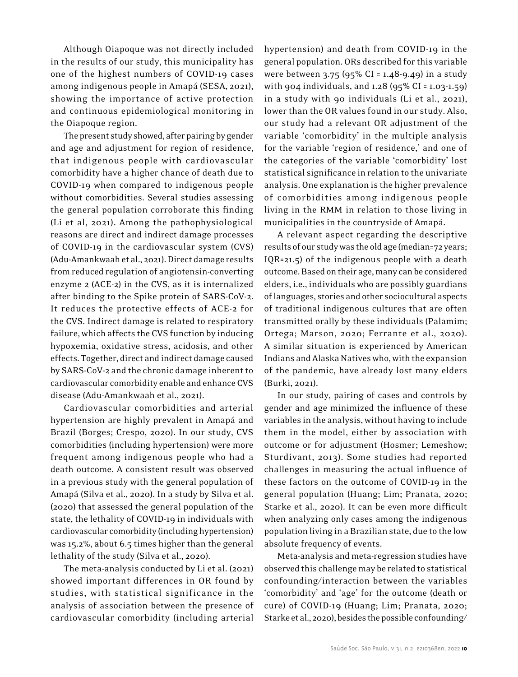Although Oiapoque was not directly included in the results of our study, this municipality has one of the highest numbers of COVID-19 cases among indigenous people in Amapá (SESA, 2021), showing the importance of active protection and continuous epidemiological monitoring in the Oiapoque region.

The present study showed, after pairing by gender and age and adjustment for region of residence, that indigenous people with cardiovascular comorbidity have a higher chance of death due to COVID-19 when compared to indigenous people without comorbidities. Several studies assessing the general population corroborate this finding (Li et al, 2021). Among the pathophysiological reasons are direct and indirect damage processes of COVID-19 in the cardiovascular system (CVS) (Adu-Amankwaah et al., 2021). Direct damage results from reduced regulation of angiotensin-converting enzyme 2 (ACE-2) in the CVS, as it is internalized after binding to the Spike protein of SARS-CoV-2. It reduces the protective effects of ACE-2 for the CVS. Indirect damage is related to respiratory failure, which affects the CVS function by inducing hypoxemia, oxidative stress, acidosis, and other effects. Together, direct and indirect damage caused by SARS-CoV-2 and the chronic damage inherent to cardiovascular comorbidity enable and enhance CVS disease (Adu-Amankwaah et al., 2021).

Cardiovascular comorbidities and arterial hypertension are highly prevalent in Amapá and Brazil (Borges; Crespo, 2020). In our study, CVS comorbidities (including hypertension) were more frequent among indigenous people who had a death outcome. A consistent result was observed in a previous study with the general population of Amapá (Silva et al., 2020). In a study by Silva et al. (2020) that assessed the general population of the state, the lethality of COVID-19 in individuals with cardiovascular comorbidity (including hypertension) was 15.2%, about 6.5 times higher than the general lethality of the study (Silva et al., 2020).

The meta-analysis conducted by Li et al. (2021) showed important differences in OR found by studies, with statistical significance in the analysis of association between the presence of cardiovascular comorbidity (including arterial

hypertension) and death from COVID-19 in the general population. ORs described for this variable were between 3.75 (95% CI = 1.48-9.49) in a study with 904 individuals, and 1.28 (95% CI = 1.03-1.59) in a study with 90 individuals (Li et al., 2021), lower than the OR values found in our study. Also, our study had a relevant OR adjustment of the variable 'comorbidity' in the multiple analysis for the variable 'region of residence,' and one of the categories of the variable 'comorbidity' lost statistical significance in relation to the univariate analysis. One explanation is the higher prevalence of comorbidities among indigenous people living in the RMM in relation to those living in municipalities in the countryside of Amapá.

A relevant aspect regarding the descriptive results of our study was the old age (median=72 years; IQR=21.5) of the indigenous people with a death outcome. Based on their age, many can be considered elders, i.e., individuals who are possibly guardians of languages, stories and other sociocultural aspects of traditional indigenous cultures that are often transmitted orally by these individuals (Palamim; Ortega; Marson, 2020; Ferrante et al., 2020). A similar situation is experienced by American Indians and Alaska Natives who, with the expansion of the pandemic, have already lost many elders (Burki, 2021).

In our study, pairing of cases and controls by gender and age minimized the influence of these variables in the analysis, without having to include them in the model, either by association with outcome or for adjustment (Hosmer; Lemeshow; Sturdivant, 2013). Some studies had reported challenges in measuring the actual influence of these factors on the outcome of COVID-19 in the general population (Huang; Lim; Pranata, 2020; Starke et al., 2020). It can be even more difficult when analyzing only cases among the indigenous population living in a Brazilian state, due to the low absolute frequency of events.

Meta-analysis and meta-regression studies have observed this challenge may be related to statistical confounding/interaction between the variables 'comorbidity' and 'age' for the outcome (death or cure) of COVID-19 (Huang; Lim; Pranata, 2020; Starke et al., 2020), besides the possible confounding/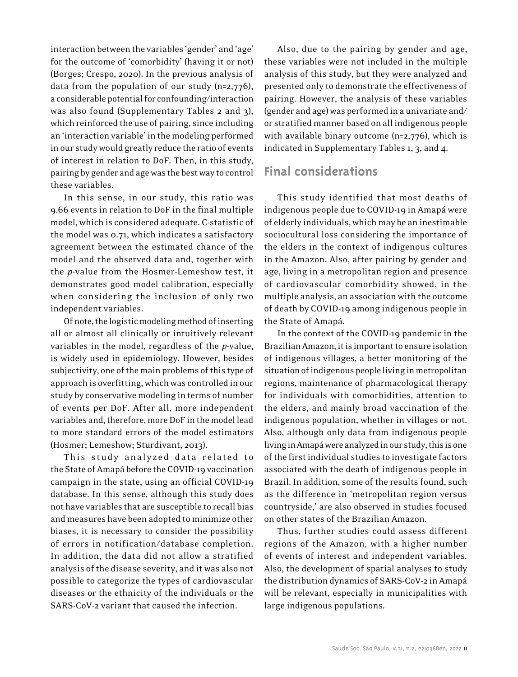interaction between the variables 'gender' and 'age' for the outcome of 'comorbidity' (having it or not) (Borges; Crespo, 2020). In the previous analysis of data from the population of our study (n=2,776), a considerable potential for confounding/interaction was also found (Supplementary Tables 2 and 3), which reinforced the use of pairing, since including an 'interaction variable' in the modeling performed in our study would greatly reduce the ratio of events of interest in relation to DoF. Then, in this study, pairing by gender and age was the best way to control these variables.

In this sense, in our study, this ratio was 9.66 events in relation to DoF in the final multiple model, which is considered adequate. C-statistic of the model was 0.71, which indicates a satisfactory agreement between the estimated chance of the model and the observed data and, together with the *p*-value from the Hosmer-Lemeshow test, it demonstrates good model calibration, especially when considering the inclusion of only two independent variables.

Of note, the logistic modeling method of inserting all or almost all clinically or intuitively relevant variables in the model, regardless of the *p*-value, is widely used in epidemiology. However, besides subjectivity, one of the main problems of this type of approach is overfitting, which was controlled in our study by conservative modeling in terms of number of events per DoF. After all, more independent variables and, therefore, more DoF in the model lead to more standard errors of the model estimators (Hosmer; Lemeshow; Sturdivant, 2013).

This study analyzed data related to the State of Amapá before the COVID-19 vaccination campaign in the state, using an official COVID-19 database. In this sense, although this study does not have variables that are susceptible to recall bias and measures have been adopted to minimize other biases, it is necessary to consider the possibility of errors in notification/database completion. In addition, the data did not allow a stratified analysis of the disease severity, and it was also not possible to categorize the types of cardiovascular diseases or the ethnicity of the individuals or the SARS-CoV-2 variant that caused the infection.

Also, due to the pairing by gender and age, these variables were not included in the multiple analysis of this study, but they were analyzed and presented only to demonstrate the effectiveness of pairing. However, the analysis of these variables (gender and age) was performed in a univariate and/ or stratified manner based on all indigenous people with available binary outcome (n=2,776), which is indicated in Supplementary Tables 1, 3, and 4.

# **Final considerations**

This study identified that most deaths of indigenous people due to COVID-19 in Amapá were of elderly individuals, which may be an inestimable sociocultural loss considering the importance of the elders in the context of indigenous cultures in the Amazon. Also, after pairing by gender and age, living in a metropolitan region and presence of cardiovascular comorbidity showed, in the multiple analysis, an association with the outcome of death by COVID-19 among indigenous people in the State of Amapá.

In the context of the COVID-19 pandemic in the Brazilian Amazon, it is important to ensure isolation of indigenous villages, a better monitoring of the situation of indigenous people living in metropolitan regions, maintenance of pharmacological therapy for individuals with comorbidities, attention to the elders, and mainly broad vaccination of the indigenous population, whether in villages or not. Also, although only data from indigenous people living in Amapá were analyzed in our study, this is one of the first individual studies to investigate factors associated with the death of indigenous people in Brazil. In addition, some of the results found, such as the difference in 'metropolitan region versus countryside,' are also observed in studies focused on other states of the Brazilian Amazon.

Thus, further studies could assess different regions of the Amazon, with a higher number of events of interest and independent variables. Also, the development of spatial analyses to study the distribution dynamics of SARS-CoV-2 in Amapá will be relevant, especially in municipalities with large indigenous populations.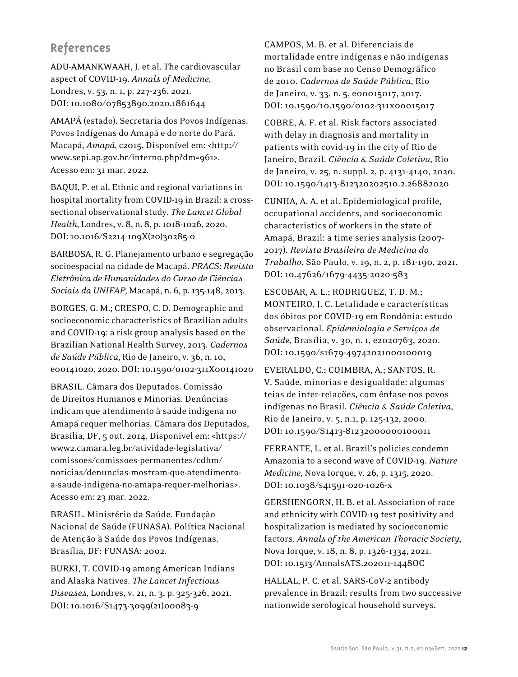# **References**

ADU-AMANKWAAH, J. et al. The cardiovascular aspect of COVID-19. *Annals of Medicine*, Londres, v. 53, n. 1, p. 227-236, 2021. DOI: 10.1080/07853890.2020.1861644

AMAPÁ (estado). Secretaria dos Povos Indígenas. Povos Indígenas do Amapá e do norte do Pará. Macapá, *Amapá*, c2015. Disponível em: <http:// www.sepi.ap.gov.br/interno.php?dm=961>. Acesso em: 31 mar. 2022.

BAQUI, P. et al. Ethnic and regional variations in hospital mortality from COVID-19 in Brazil: a crosssectional observational study. *The Lancet Global Health*, Londres, v. 8, n. 8, p. 1018-1026, 2020. DOI: 10.1016/S2214-109X(20)30285-0

BARBOSA, R. G. Planejamento urbano e segregação socioespacial na cidade de Macapá. *PRACS: Revista Eletrônica de Humanidades do Curso de Ciências Sociais da UNIFAP*, Macapá, n. 6, p. 135-148, 2013.

BORGES, G. M.; CRESPO, C. D. Demographic and socioeconomic characteristics of Brazilian adults and COVID-19: a risk group analysis based on the Brazilian National Health Survey, 2013. *Cadernos de Saúde Pública*, Rio de Janeiro, v. 36, n. 10, e00141020, 2020. DOI: 10.1590/0102-311X00141020

BRASIL. Câmara dos Deputados. Comissão de Direitos Humanos e Minorias. Denúncias indicam que atendimento à saúde indígena no Amapá requer melhorias. Câmara dos Deputados, Brasília, DF, 5 out. 2014. Disponível em: <https:// www2.camara.leg.br/atividade-legislativa/ comissoes/comissoes-permanentes/cdhm/ noticias/denuncias-mostram-que-atendimentoa-saude-indigena-no-amapa-requer-melhorias>. Acesso em: 23 mar. 2022.

BRASIL. Ministério da Saúde. Fundação Nacional de Saúde (FUNASA). Política Nacional de Atenção à Saúde dos Povos Indígenas. Brasília, DF: FUNASA: 2002.

BURKI, T. COVID-19 among American Indians and Alaska Natives. *The Lancet Infectious Diseases*, Londres, v. 21, n. 3, p. 325-326, 2021. DOI: 10.1016/S1473-3099(21)00083-9

CAMPOS, M. B. et al. Diferenciais de mortalidade entre indígenas e não indígenas no Brasil com base no Censo Demográfico de 2010. *Cadernos de Saúde Pública*, Rio de Janeiro, v. 33, n. 5, e00015017, 2017. DOI: 10.1590/10.1590/0102-311x00015017

COBRE, A. F. et al. Risk factors associated with delay in diagnosis and mortality in patients with covid-19 in the city of Rio de Janeiro, Brazil. *Ciência & Saúde Coletiva*, Rio de Janeiro, v. 25, n. suppl. 2, p. 4131-4140, 2020. DOI: 10.1590/1413-812320202510.2.26882020

CUNHA, A. A. et al. Epidemiological profile, occupational accidents, and socioeconomic characteristics of workers in the state of Amapá, Brazil: a time series analysis (2007- 2017). *Revista Brasileira de Medicina do Trabalho*, São Paulo, v. 19, n. 2, p. 181-190, 2021. DOI: 10.47626/1679-4435-2020-583

ESCOBAR, A. L.; RODRIGUEZ, T. D. M.; MONTEIRO, J. C. Letalidade e características dos óbitos por COVID-19 em Rondônia: estudo observacional. *Epidemiologia e Serviços de Saúde*, Brasília, v. 30, n. 1, e2020763, 2020. DOI: 10.1590/s1679-49742021000100019

EVERALDO, C.; COIMBRA, A.; SANTOS, R. V. Saúde, minorias e desigualdade: algumas teias de inter-relações, com ênfase nos povos indígenas no Brasil. *Ciência & Saúde Coletiva*, Rio de Janeiro, v. 5, n.1, p. 125-132, 2000. DOI: 10.1590/S1413-81232000000100011

FERRANTE, L. et al. Brazil's policies condemn Amazonia to a second wave of COVID-19. *Nature Medicine*, Nova Iorque, v. 26, p. 1315, 2020. DOI: 10.1038/s41591-020-1026-x

GERSHENGORN, H. B. et al. Association of race and ethnicity with COVID-19 test positivity and hospitalization is mediated by socioeconomic factors. *Annals of the American Thoracic Society*, Nova Iorque, v. 18, n. 8, p. 1326-1334, 2021. DOI: 10.1513/AnnalsATS.202011-1448OC

HALLAL, P. C. et al. SARS-CoV-2 antibody prevalence in Brazil: results from two successive nationwide serological household surveys.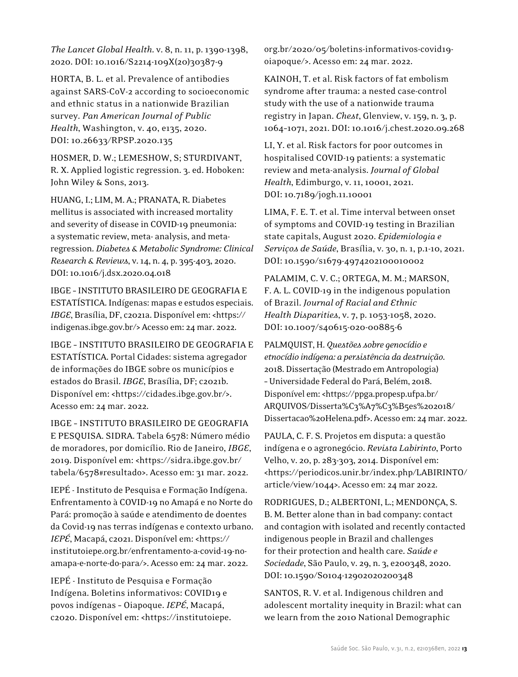*The Lancet Global Health*. v. 8, n. 11, p. 1390-1398, 2020. DOI: 10.1016/S2214-109X(20)30387-9

HORTA, B. L. et al. Prevalence of antibodies against SARS-CoV-2 according to socioeconomic and ethnic status in a nationwide Brazilian survey. *Pan American Journal of Public Health*, Washington, v. 40, e135, 2020. DOI: 10.26633/RPSP.2020.135

HOSMER, D. W.; LEMESHOW, S; STURDIVANT, R. X. Applied logistic regression. 3. ed. Hoboken: John Wiley & Sons, 2013.

HUANG, I.; LIM, M. A.; PRANATA, R. Diabetes mellitus is associated with increased mortality and severity of disease in COVID-19 pneumonia: a systematic review, meta- analysis, and metaregression. *Diabetes & Metabolic Syndrome: Clinical Research & Reviews*, v. 14, n. 4, p. 395-403, 2020. DOI: 10.1016/j.dsx.2020.04.018

IBGE – INSTITUTO BRASILEIRO DE GEOGRAFIA E ESTATÍSTICA. Indígenas: mapas e estudos especiais. *IBGE*, Brasília, DF, c2021a. Disponível em: <https:// indigenas.ibge.gov.br/> Acesso em: 24 mar. 2022.

IBGE – INSTITUTO BRASILEIRO DE GEOGRAFIA E ESTATÍSTICA. Portal Cidades: sistema agregador de informações do IBGE sobre os municípios e estados do Brasil. *IBGE*, Brasília, DF; c2021b. Disponível em: <https://cidades.ibge.gov.br/>. Acesso em: 24 mar. 2022.

IBGE – INSTITUTO BRASILEIRO DE GEOGRAFIA E PESQUISA. SIDRA. Tabela 6578: Número médio de moradores, por domicílio. Rio de Janeiro, *IBGE*, 2019. Disponível em: <https://sidra.ibge.gov.br/ tabela/6578#resultado>. Acesso em: 31 mar. 2022.

IEPÉ - Instituto de Pesquisa e Formação Indígena. Enfrentamento à COVID-19 no Amapá e no Norte do Pará: promoção à saúde e atendimento de doentes da Covid-19 nas terras indígenas e contexto urbano. *IEPÉ*, Macapá, c2021. Disponível em: <https:// institutoiepe.org.br/enfrentamento-a-covid-19-noamapa-e-norte-do-para/>. Acesso em: 24 mar. 2022.

IEPÉ - Instituto de Pesquisa e Formação Indígena. Boletins informativos: COVID19 e povos indígenas – Oiapoque. *IEPÉ*, Macapá, c2020. Disponível em: <https://institutoiepe. org.br/2020/05/boletins-informativos-covid19 oiapoque/>. Acesso em: 24 mar. 2022.

KAINOH, T. et al. Risk factors of fat embolism syndrome after trauma: a nested case-control study with the use of a nationwide trauma registry in Japan. *Chest*, Glenview, v. 159, n. 3, p. 1064–1071, 2021. DOI: 10.1016/j.chest.2020.09.268

LI, Y. et al. Risk factors for poor outcomes in hospitalised COVID-19 patients: a systematic review and meta-analysis. *Journal of Global Health*, Edimburgo, v. 11, 10001, 2021. DOI: 10.7189/jogh.11.10001

LIMA, F. E. T. et al. Time interval between onset of symptoms and COVID-19 testing in Brazilian state capitals, August 2020. *Epidemiologia e Serviços de Saúde*, Brasília, v. 30, n. 1, p.1-10, 2021. DOI: 10.1590/s1679-4974202100010002

PALAMIM, C. V. C.; ORTEGA, M. M.; MARSON, F. A. L. COVID-19 in the indigenous population of Brazil. *Journal of Racial and Ethnic Health Disparities*, v. 7, p. 1053-1058, 2020. DOI: 10.1007/s40615-020-00885-6

PALMQUIST, H. *Questões sobre genocídio e etnocídio indígena: a persistência da destruição*. 2018. Dissertação (Mestrado em Antropologia) – Universidade Federal do Pará, Belém, 2018. Disponível em: <https://ppga.propesp.ufpa.br/ ARQUIVOS/Disserta%C3%A7%C3%B5es%202018/ Dissertacao%20Helena.pdf>. Acesso em: 24 mar. 2022.

PAULA, C. F. S. Projetos em disputa: a questão indígena e o agronegócio. *Revista Labirinto*, Porto Velho, v. 20, p. 283-303, 2014. Disponível em: <https://periodicos.unir.br/index.php/LABIRINTO/ article/view/1044>. Acesso em: 24 mar 2022.

RODRIGUES, D.; ALBERTONI, L.; MENDONÇA, S. B. M. Better alone than in bad company: contact and contagion with isolated and recently contacted indigenous people in Brazil and challenges for their protection and health care. *Saúde e Sociedade*, São Paulo, v. 29, n. 3, e200348, 2020. DOI: 10.1590/S0104-12902020200348

SANTOS, R. V. et al. Indigenous children and adolescent mortality inequity in Brazil: what can we learn from the 2010 National Demographic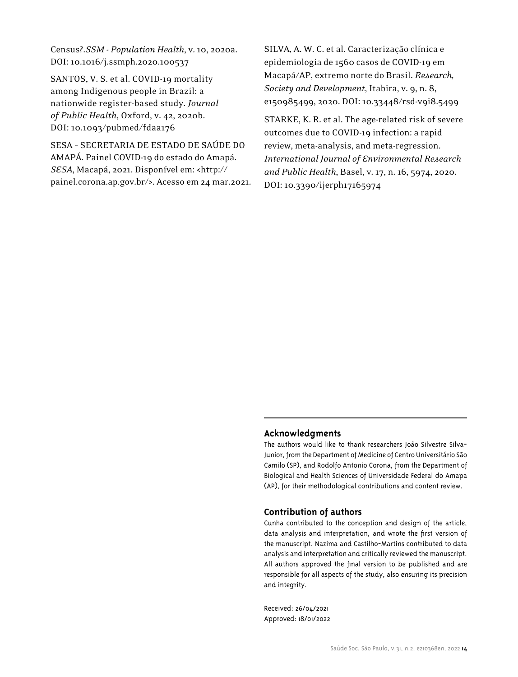Census?.*SSM - Population Health*, v. 10, 2020a. DOI: 10.1016/j.ssmph.2020.100537

SANTOS, V. S. et al. COVID-19 mortality among Indigenous people in Brazil: a nationwide register-based study. *Journal of Public Health*, Oxford, v. 42, 2020b. DOI: 10.1093/pubmed/fdaa176

SESA – SECRETARIA DE ESTADO DE SAÚDE DO AMAPÁ. Painel COVID-19 do estado do Amapá. *SESA*, Macapá, 2021. Disponível em: <http:// painel.corona.ap.gov.br/>. Acesso em 24 mar.2021. SILVA, A. W. C. et al. Caracterização clínica e epidemiologia de 1560 casos de COVID-19 em Macapá/AP, extremo norte do Brasil. *Research, Society and Development*, Itabira, v. 9, n. 8, e150985499, 2020. DOI: 10.33448/rsd-v9i8.5499

STARKE, K. R. et al. The age-related risk of severe outcomes due to COVID-19 infection: a rapid review, meta-analysis, and meta-regression. *International Journal of Environmental Research and Public Health*, Basel, v. 17, n. 16, 5974, 2020. DOI: 10.3390/ijerph17165974

#### **Acknowledgments**

The authors would like to thank researchers João Silvestre Silva-Junior, from the Department of Medicine of Centro Universitário São Camilo (SP), and Rodolfo Antonio Corona, from the Department of Biological and Health Sciences of Universidade Federal do Amapa (AP), for their methodological contributions and content review.

#### **Contribution of authors**

Cunha contributed to the conception and design of the article, data analysis and interpretation, and wrote the first version of the manuscript. Nazima and Castilho-Martins contributed to data analysis and interpretation and critically reviewed the manuscript. All authors approved the final version to be published and are responsible for all aspects of the study, also ensuring its precision and integrity.

Received: 26/04/2021 Approved: 18/01/2022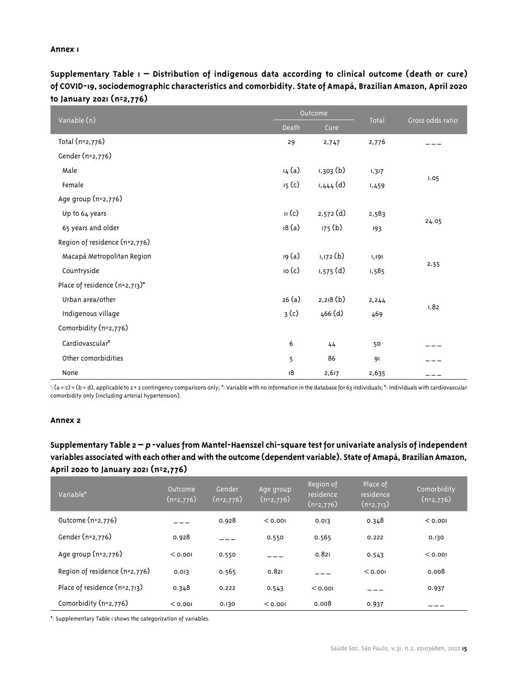#### **Annex 1**

**Supplementary Table 1 – Distribution of indigenous data according to clinical outcome (death or cure) of COVID-19, sociodemographic characteristics and comorbidity. State of Amapá, Brazilian Amazon, April 2020 to January 2021 (n=2,776)**

|                               | Outcome                   |             |              | Gross odds ratio <sup>1</sup> |
|-------------------------------|---------------------------|-------------|--------------|-------------------------------|
| Variable (n)                  | Death                     | Cure        | <b>Total</b> |                               |
| Total (n=2,776)               | 29                        | 2,747       | 2,776        |                               |
| Gender (n=2,776)              |                           |             |              |                               |
| Male                          | 14 (a)                    | 1,303(b)    | 1,317        |                               |
| Female                        | 15 <sub>(c)</sub>         | $1,444$ (d) | 1,459        | 1.05                          |
| Age group (n=2,776)           |                           |             |              |                               |
| Up to 64 years                | $\mathsf{II}(\mathsf{c})$ | $2,572$ (d) | 2,583        |                               |
| 65 years and older            | 18(a)                     | 175(b)      | 193          | 24.05                         |
| Region of residence (n=2,776) |                           |             |              |                               |
| Macapá Metropolitan Region    | 19 (a)                    | 1,172 (b)   | 1,191        |                               |
| Countryside                   | io(c)                     | $1,575$ (d) | 1,585        | 2.55                          |
| Place of residence (n=2,713)* |                           |             |              |                               |
| Urban area/other              | 26(a)                     | 2,218(b)    | 2,244        |                               |
| Indigenous village            | 3(c)                      | 466 (d)     | 469          | 1.82                          |
| Comorbidity (n=2,776)         |                           |             |              |                               |
| Cardiovascular <sup>®</sup>   | 6                         | 44          | 50           |                               |
| Other comorbidities           | 5                         | 86          | 91           |                               |
| None                          | 18                        | 2,617       | 2,635        |                               |

 $\cdot$  (a ÷ c) ÷ (b ÷ d), applicable to 2 × 2 contingency comparisons only;  $*$ : Variable with no information in the database for 63 individuals;  $"$  : Individuals with cardiovascular comorbidity only (including arterial hypertension).

#### **Annex 2**

## **Supplementary Table 2 – p -values from Mantel-Haenszel chi-square test for univariate analysis of independent variables associated with each other and with the outcome (dependent variable). State of Amapá, Brazilian Amazon, April 2020 to January 2021 (n=2,776)**

| Variable*                      | Outcome<br>$(n=2,776)$ | Gender<br>$(n=2,776)$ | Age group<br>$(n=2,776)$ | Region of<br>residence<br>$(n=2,776)$ | Place of<br>residence<br>$(n=2,713)$ | Comorbidity<br>$(n=2,776)$ |
|--------------------------------|------------------------|-----------------------|--------------------------|---------------------------------------|--------------------------------------|----------------------------|
| Outcome (n=2,776)              |                        | 0.928                 | < 0.001                  | 0.013                                 | 0.348                                | < 0.001                    |
| Gender (n=2,776)               | 0.928                  |                       | 0.550                    | 0.565                                 | 0.222                                | 0.130                      |
| Age group $(n=2,776)$          | < 0.001                | 0.550                 |                          | 0.821                                 | 0.543                                | < 0.001                    |
| Region of residence (n=2,776)  | 0.013                  | 0.565                 | 0.821                    |                                       | < 0.001                              | 0.008                      |
| Place of residence $(n=2,7,1)$ | 0.348                  | 0.222                 | 0.543                    | < 0.001                               |                                      | 0.937                      |
| Comorbidity (n=2,776)          | < 0.001                | 0.130                 | < 0.001                  | 0.008                                 | 0.937                                |                            |

\*: Supplementary Table 1 shows the categorization of variables.